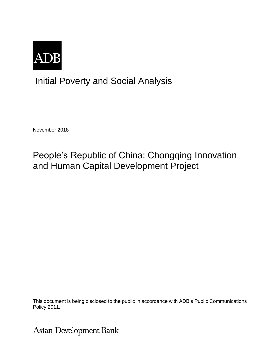

# Initial Poverty and Social Analysis

November 2018

# People's Republic of China: Chongqing Innovation and Human Capital Development Project

This document is being disclosed to the public in accordance with ADB's Public Communications Policy 2011.

**Asian Development Bank**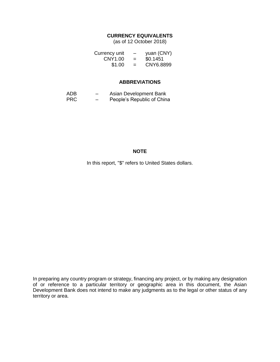#### **CURRENCY EQUIVALENTS**

(as of 12 October 2018)

| Currency unit | -   | yuan (CNY) |
|---------------|-----|------------|
| CNY1.00       | $=$ | \$0.1451   |
| \$1.00        | $=$ | CNY6.8899  |

#### **ABBREVIATIONS**

| ADB        | _ | Asian Development Bank     |
|------------|---|----------------------------|
| <b>PRC</b> | - | People's Republic of China |

### **NOTE**

In this report, "\$" refers to United States dollars.

In preparing any country program or strategy, financing any project, or by making any designation of or reference to a particular territory or geographic area in this document, the Asian Development Bank does not intend to make any judgments as to the legal or other status of any territory or area.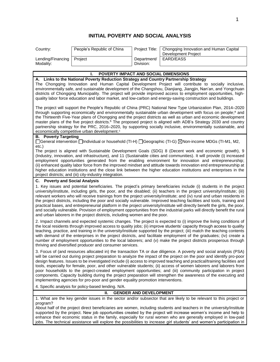### **INITIAL POVERTY AND SOCIAL ANALYSIS**

| Country:                       | People's Republic of China | Project Title:           | Chongqing Innovation and Human Capital<br>Development Project |
|--------------------------------|----------------------------|--------------------------|---------------------------------------------------------------|
| Lending/Financing<br>Modality: | Proiect                    | Department/<br>Division: | EARD/EASS                                                     |

| ı.<br>POVERTY IMPACT AND SOCIAL DIMENSIONS                                                                                                                                                                                                                                                                                                                                                                                                                                                                                                                                                                                                                                                                                                                                                                                                         |
|----------------------------------------------------------------------------------------------------------------------------------------------------------------------------------------------------------------------------------------------------------------------------------------------------------------------------------------------------------------------------------------------------------------------------------------------------------------------------------------------------------------------------------------------------------------------------------------------------------------------------------------------------------------------------------------------------------------------------------------------------------------------------------------------------------------------------------------------------|
| A. Links to the National Poverty Reduction Strategy and Country Partnership Strategy<br>The Chongqing Innovation and Human Capital Development Project will contribute to socially inclusive,<br>environmentally safe, and sustainable development of the Changshou, Dianjiang, Jiangjin, Nan'an, and Yongchuan<br>districts of Chongqing Municipality. The project will provide improved access to employment opportunities, high-<br>quality labor force education and labor market, and low-carbon and energy-saving construction and buildings.                                                                                                                                                                                                                                                                                                |
| The project will support the People's Republic of China (PRC) National New Type Urbanization Plan, 2014–2020<br>through supporting economically and environmentally sustainable urban development with focus on people; <sup>a</sup> and<br>the Thirteenth Five-Year plans of Chongqing and the project districts as well as urban and economic development<br>master plans of the five project districts. <sup>b</sup> The proposed project is aligned with ADB's Strategy 2030 and country<br>partnership strategy for the PRC, 2016–2020, by supporting socially inclusive, environmentally sustainable, and<br>economically competitive urban development. <sup>c</sup>                                                                                                                                                                        |
| <b>B.</b> Poverty Targeting<br>□General intervention □Individual or household (TI-H) □Geographic (TI-G) ⊠Non-income MDGs (TI-M1, M2,<br>etc.)                                                                                                                                                                                                                                                                                                                                                                                                                                                                                                                                                                                                                                                                                                      |
| The project is aligned with Sustainable Development Goals (SDG) 8 (Decent work and economic growth), 9<br>(Industry, innovation, and infrastructure), and 11 (Sustainable cities and communities). It will provide (i) increased<br>employment opportunities generated from the enabling environment for innovation and entrepreneurship;<br>(ii) enhanced quality labor force from the improved mindset and attitude towards innovation end entrepreneurship at<br>higher education institutions and the close link between the higher education institutions and enterprises in the<br>project districts; and (iii) city-industry integration.                                                                                                                                                                                                   |
| C. Poverty and Social Analysis                                                                                                                                                                                                                                                                                                                                                                                                                                                                                                                                                                                                                                                                                                                                                                                                                     |
| 1. Key issues and potential beneficiaries. The project's primary beneficiaries include (i) students in the project<br>university/institute, including girls, the poor, and the disabled; (ii) teachers in the project university/institute; (iii)<br>relevant workers who will receive trainings from the project university/institute; and (iv) rural and urban residents in<br>the project districts, including the poor and socially vulnerable. Improved teaching facilities and tools, training and<br>practical bases, and entrepreneurial platform in the project university/institute will directly benefit the girls, the poor,<br>and socially vulnerable. Provision of employment opportunities from the industrial parks will directly benefit the rural<br>and urban laborers in the project districts, including women and the poor. |
| 2. Impact channels and expected systemic changes. The project is expected to (i) improve the living conditions of<br>the local residents through improved access to quality jobs; (ii) improve students' capacity through access to quality<br>teaching, practice, and training in the university/institute supported by the project; (iii) match the teaching contents<br>with demand of the enterprises in the project districts, and facilitate employment of the graduates; (iv) create a<br>number of employment opportunities to the local laborers; and (v) make the project districts prosperous through<br>thriving and diversified producer and consumer services.                                                                                                                                                                       |
| 3. Focus of (and resources allocated in) the transaction TA or due diligence. A poverty and social analysis (PSA)<br>will be carried out during project preparation to analyze the impact of the project on the poor and identify pro-poor<br>design features. Issues to be investigated include (i) access to improved teaching and practical/training facilities and<br>tools, especially for female, poor, and other vulnerable students; (ii) access of women laborers and laborers from<br>poor households to the project-created employment opportunities; and (iii) community participation in project<br>components. Capacity building during the project preparation will strengthen the awareness of the executing and<br>implementing agencies for pro-poor and gender equality promotion interventions.                                |

4. Specific analysis for policy-based lending. N/A.

#### **II. GENDER AND DEVELOPMENT**

1. What are the key gender issues in the sector and/or subsector that are likely to be relevant to this project or program?

About half of the project direct beneficiaries are women, including students and teachers in the university/institute supported by the project. New job opportunities created by the project will increase women's income and help to enhance their economic status in the family, especially for rural women who are generally employed in low-paid jobs. The technical assistance will explore the possibilities to increase girl students' and women's participation in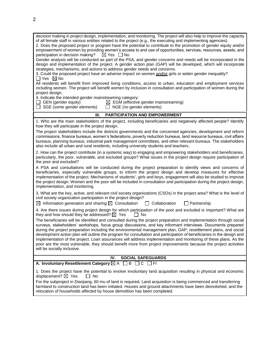| decision making in project design, implementation, and monitoring. The project will also help to improve the capacity<br>of all female staff in various entities related to the project (e.g., the executing and implementing agencies).<br>2. Does the proposed project or program have the potential to contribute to the promotion of gender equity and/or<br>empowerment of women by providing women's access to and use of opportunities, services, resources, assets, and<br>participation in decision making?<br>$\boxtimes$ Yes $\Box$ No<br>Gender analysis will be conducted as part of the PSA, and gender concerns and needs will be incorporated in the<br>design and implementation of the project. A gender action plan (GAP) will be developed, which will incorporate<br>strategies, mechanisms, and actions to address gender needs and concerns.<br>3. Could the proposed project have an adverse impact on women and/or girls or widen gender inequality?<br>$\Box$ Yes $\boxtimes$ No<br>All residents will benefit from improved living conditions, access to urban, education and employment services<br>including women. The project will benefit women by inclusion in consultation and participation of women during the<br>project design.<br>4. Indicate the intended gender mainstreaming category:<br>$\Box$ GEN (gender equity)<br>$\boxtimes$ EGM (effective gender mainstreaming) |
|--------------------------------------------------------------------------------------------------------------------------------------------------------------------------------------------------------------------------------------------------------------------------------------------------------------------------------------------------------------------------------------------------------------------------------------------------------------------------------------------------------------------------------------------------------------------------------------------------------------------------------------------------------------------------------------------------------------------------------------------------------------------------------------------------------------------------------------------------------------------------------------------------------------------------------------------------------------------------------------------------------------------------------------------------------------------------------------------------------------------------------------------------------------------------------------------------------------------------------------------------------------------------------------------------------------------------------------------------------------------------------------------------------------------|
| $\Box$ SGE (some gender elements)<br>NGE (no gender elements)                                                                                                                                                                                                                                                                                                                                                                                                                                                                                                                                                                                                                                                                                                                                                                                                                                                                                                                                                                                                                                                                                                                                                                                                                                                                                                                                                      |
| PARTICIPATION AND EMPOWERMENT<br>III.                                                                                                                                                                                                                                                                                                                                                                                                                                                                                                                                                                                                                                                                                                                                                                                                                                                                                                                                                                                                                                                                                                                                                                                                                                                                                                                                                                              |
| 1. Who are the main stakeholders of the project, including beneficiaries and negatively affected people? Identify<br>how they will participate in the project design.<br>The project stakeholders include the districts governments and the concerned agencies, development and reform<br>commissions, finance bureaus, women's federations, poverty reduction bureaus, land resource bureaus, civil affairs<br>bureaus, planning bureaus, industrial park management committees, and other relevant bureaus. The stakeholders                                                                                                                                                                                                                                                                                                                                                                                                                                                                                                                                                                                                                                                                                                                                                                                                                                                                                     |
| also include all urban and rural residents, including university students and teachers.                                                                                                                                                                                                                                                                                                                                                                                                                                                                                                                                                                                                                                                                                                                                                                                                                                                                                                                                                                                                                                                                                                                                                                                                                                                                                                                            |
| 2. How can the project contribute (in a systemic way) to engaging and empowering stakeholders and beneficiaries,<br>particularly, the poor, vulnerable, and excluded groups? What issues in the project design require participation of<br>the poor and excluded?                                                                                                                                                                                                                                                                                                                                                                                                                                                                                                                                                                                                                                                                                                                                                                                                                                                                                                                                                                                                                                                                                                                                                  |
| A PSA and consultations will be conducted during the project preparation to identify views and concerns of<br>beneficiaries, especially vulnerable groups, to inform the project design and develop measures for effective<br>implementation of the project. Mechanisms of students', girls and boys, engagement will also be studied to improve<br>the project design. Women and the poor will be included in consultation and participation during the project design,<br>implementation, and monitoring.                                                                                                                                                                                                                                                                                                                                                                                                                                                                                                                                                                                                                                                                                                                                                                                                                                                                                                        |
| 3. What are the key, active, and relevant civil society organizations (CSOs) in the project area? What is the level of<br>civil society organization participation in the project design?<br>$\boxtimes$ Information generation and sharing $\boxtimes$ Consultation<br>Collaboration<br>$\Box$ Partnership<br>$\mathbf{1}$                                                                                                                                                                                                                                                                                                                                                                                                                                                                                                                                                                                                                                                                                                                                                                                                                                                                                                                                                                                                                                                                                        |
| 4. Are there issues during project design for which participation of the poor and excluded is important? What are<br>they and how should they be addressed? $\times$ Yes                                                                                                                                                                                                                                                                                                                                                                                                                                                                                                                                                                                                                                                                                                                                                                                                                                                                                                                                                                                                                                                                                                                                                                                                                                           |
| l I No<br>The beneficiaries will be identified and consulted during the project preparation and implementation through social<br>surveys, stakeholders' workshops, focus group discussions, and key informant interviews. Documents prepared<br>during the project preparation including the environmental management plan, GAP, resettlement plans, and social<br>development action plan will outline the program for consultation and participation of beneficiaries in the design and<br>implementation of the project. Loan assurances will address implementation and monitoring of these plans. As the<br>poor are the most vulnerable, they should benefit more from project improvements because the project activities<br>will be socially inclusive.                                                                                                                                                                                                                                                                                                                                                                                                                                                                                                                                                                                                                                                    |
| IV.<br><b>SOCIAL SAFEGUARDS</b>                                                                                                                                                                                                                                                                                                                                                                                                                                                                                                                                                                                                                                                                                                                                                                                                                                                                                                                                                                                                                                                                                                                                                                                                                                                                                                                                                                                    |
| A. Involuntary Resettlement Category <b><math>\boxtimes</math> A</b><br>$\Box$ B $\Box$ C $\Box$ FI                                                                                                                                                                                                                                                                                                                                                                                                                                                                                                                                                                                                                                                                                                                                                                                                                                                                                                                                                                                                                                                                                                                                                                                                                                                                                                                |
| 1. Does the project have the potential to involve involuntary land acquisition resulting in physical and economic<br>displacement? $\boxtimes$ Yes<br>$\Box$ No                                                                                                                                                                                                                                                                                                                                                                                                                                                                                                                                                                                                                                                                                                                                                                                                                                                                                                                                                                                                                                                                                                                                                                                                                                                    |
| For the subproject in Dianjiang, 60 mu of land is required. Land acquisition is being commenced and transferring<br>farmland to construction land has been initiated. Houses and ground attachments have been demolished, and the<br>relocation of households affected by house demolition has been completed.                                                                                                                                                                                                                                                                                                                                                                                                                                                                                                                                                                                                                                                                                                                                                                                                                                                                                                                                                                                                                                                                                                     |